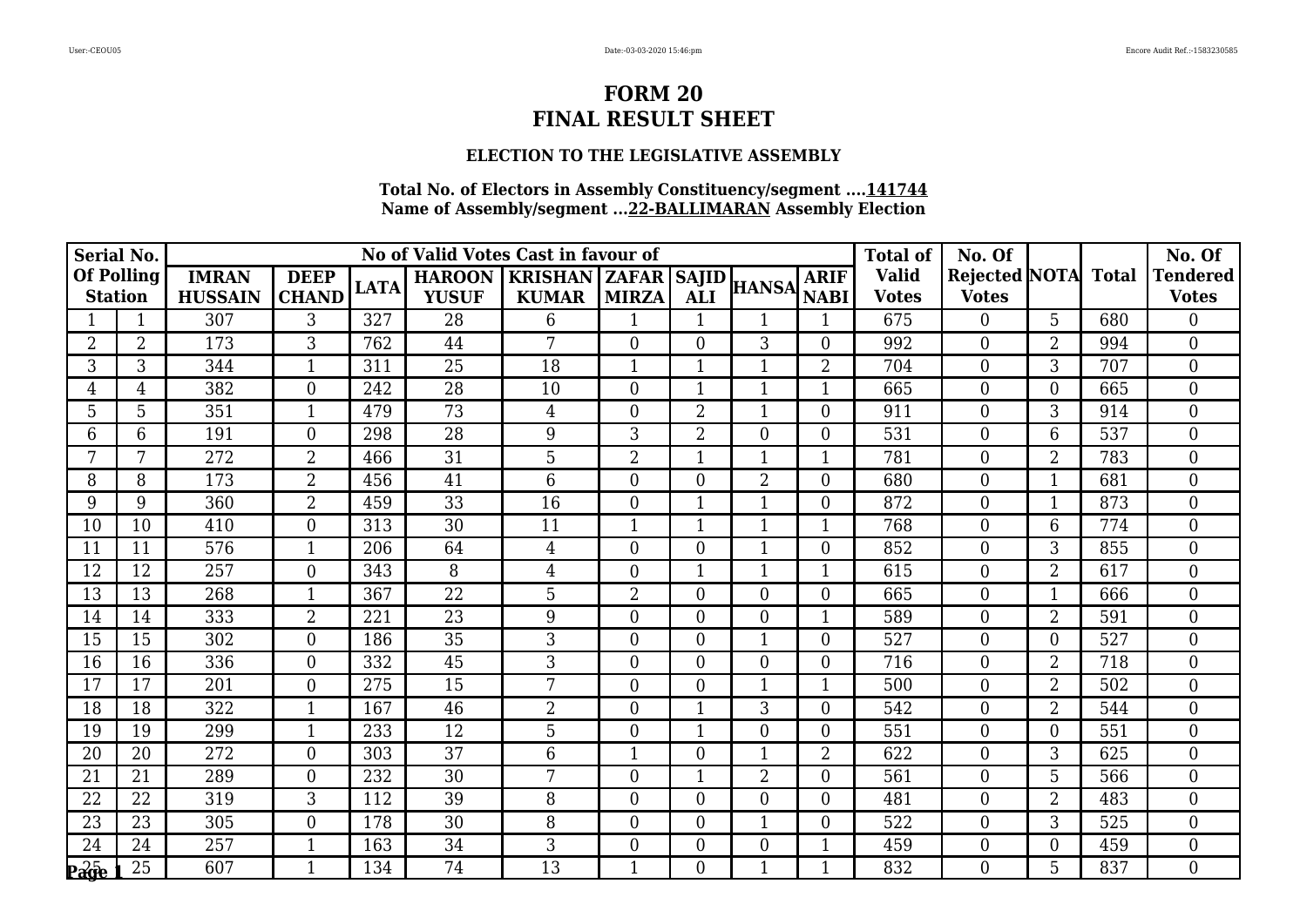### **ELECTION TO THE LEGISLATIVE ASSEMBLY**

| <b>Serial No.</b>                   |                |                                |                             |             |                               | No of Valid Votes Cast in favour of              |                  |                  |                  |                            | <b>Total of</b>              | No. Of                              |                |     | No. Of                          |
|-------------------------------------|----------------|--------------------------------|-----------------------------|-------------|-------------------------------|--------------------------------------------------|------------------|------------------|------------------|----------------------------|------------------------------|-------------------------------------|----------------|-----|---------------------------------|
| <b>Of Polling</b><br><b>Station</b> |                | <b>IMRAN</b><br><b>HUSSAIN</b> | <b>DEEP</b><br><b>CHAND</b> | <b>LATA</b> | <b>HAROON</b><br><b>YUSUF</b> | <b>KRISHAN   ZAFAR   SAJID  </b><br><b>KUMAR</b> | <b>MIRZA</b>     | <b>ALI</b>       | <b>HANSA</b>     | <b>ARIF</b><br><b>NABI</b> | <b>Valid</b><br><b>Votes</b> | Rejected NOTA Total<br><b>Votes</b> |                |     | <b>Tendered</b><br><b>Votes</b> |
|                                     |                | 307                            | 3                           | 327         | 28                            | 6                                                | $\mathbf{1}$     | $\mathbf{1}$     | 1                | 1                          | 675                          | $\overline{0}$                      | 5              | 680 | $\overline{0}$                  |
| $\overline{2}$                      | $\overline{2}$ | 173                            | 3                           | 762         | 44                            | 7                                                | $\overline{0}$   | $\boldsymbol{0}$ | 3                | $\overline{0}$             | 992                          | $\overline{0}$                      | $\overline{2}$ | 994 | $\boldsymbol{0}$                |
| 3                                   | 3              | 344                            | $\overline{1}$              | 311         | 25                            | 18                                               | $\mathbf{1}$     | $\mathbf{1}$     | $\overline{1}$   | $\overline{2}$             | 704                          | $\overline{0}$                      | 3              | 707 | $\overline{0}$                  |
| 4                                   | 4              | 382                            | $\theta$                    | 242         | 28                            | 10                                               | $\overline{0}$   | 1                | $\mathbf{1}$     | $\mathbf 1$                | 665                          | $\mathbf{0}$                        | $\Omega$       | 665 | $\overline{0}$                  |
| 5                                   | 5              | 351                            | $\mathbf{1}$                | 479         | 73                            | $\overline{4}$                                   | $\boldsymbol{0}$ | $\overline{2}$   | $\mathbf{1}$     | $\boldsymbol{0}$           | 911                          | $\boldsymbol{0}$                    | 3              | 914 | $\boldsymbol{0}$                |
| 6                                   | 6              | 191                            | $\overline{0}$              | 298         | 28                            | 9                                                | 3                | $\overline{2}$   | $\boldsymbol{0}$ | $\overline{0}$             | 531                          | $\boldsymbol{0}$                    | 6              | 537 | $\overline{0}$                  |
|                                     |                | 272                            | $\overline{2}$              | 466         | 31                            | 5                                                | 2                |                  | $\overline{1}$   |                            | 781                          | $\mathbf{0}$                        | $\overline{2}$ | 783 | $\overline{0}$                  |
| 8                                   | 8              | 173                            | $\overline{2}$              | 456         | 41                            | 6                                                | $\boldsymbol{0}$ | $\boldsymbol{0}$ | $\overline{2}$   | $\mathbf{0}$               | 680                          | $\boldsymbol{0}$                    |                | 681 | $\overline{0}$                  |
| 9                                   | 9              | 360                            | $\overline{2}$              | 459         | 33                            | 16                                               | $\overline{0}$   | $\mathbf{1}$     | $\mathbf{1}$     | $\overline{0}$             | 872                          | $\overline{0}$                      |                | 873 | $\theta$                        |
| 10                                  | 10             | 410                            | $\overline{0}$              | 313         | 30                            | 11                                               | 1                | $\mathbf{1}$     | $\mathbf{1}$     | 1                          | 768                          | $\boldsymbol{0}$                    | 6              | 774 | $\mathbf{0}$                    |
| 11                                  | 11             | 576                            | $\mathbf{1}$                | 206         | 64                            | $\overline{4}$                                   | $\boldsymbol{0}$ | $\boldsymbol{0}$ | $\mathbf{1}$     | $\boldsymbol{0}$           | 852                          | $\boldsymbol{0}$                    | 3              | 855 | $\boldsymbol{0}$                |
| 12                                  | 12             | 257                            | $\overline{0}$              | 343         | 8                             | $\overline{4}$                                   | $\overline{0}$   | $\mathbf{1}$     | $\mathbf{1}$     | $\mathbf{1}$               | 615                          | $\overline{0}$                      | $\overline{2}$ | 617 | $\overline{0}$                  |
| 13                                  | 13             | 268                            |                             | 367         | 22                            | 5                                                | 2                | $\boldsymbol{0}$ | $\boldsymbol{0}$ | $\mathbf{0}$               | 665                          | $\boldsymbol{0}$                    |                | 666 | $\boldsymbol{0}$                |
| 14                                  | 14             | 333                            | $\overline{2}$              | 221         | $\overline{23}$               | 9                                                | $\overline{0}$   | $\overline{0}$   | $\mathbf{0}$     | $\mathbf{1}$               | 589                          | $\boldsymbol{0}$                    | $\overline{2}$ | 591 | $\overline{0}$                  |
| 15                                  | 15             | 302                            | $\overline{0}$              | 186         | $\overline{35}$               | 3                                                | $\overline{0}$   | $\overline{0}$   | $\mathbf{1}$     | $\overline{0}$             | 527                          | $\overline{0}$                      | $\Omega$       | 527 | $\overline{0}$                  |
| 16                                  | 16             | 336                            | $\overline{0}$              | 332         | 45                            | 3                                                | $\overline{0}$   | $\overline{0}$   | $\boldsymbol{0}$ | $\overline{0}$             | 716                          | $\boldsymbol{0}$                    | $\overline{2}$ | 718 | $\mathbf{0}$                    |
| 17                                  | 17             | 201                            | $\theta$                    | 275         | 15                            | 7                                                | $\boldsymbol{0}$ | $\boldsymbol{0}$ | $\mathbf{1}$     | $\mathbf{1}$               | 500                          | $\boldsymbol{0}$                    | $\overline{2}$ | 502 | $\overline{0}$                  |
| 18                                  | 18             | 322                            | 1                           | 167         | 46                            | $\overline{2}$                                   | $\overline{0}$   | 1                | 3                | $\overline{0}$             | 542                          | $\boldsymbol{0}$                    | $\overline{2}$ | 544 | $\mathbf{0}$                    |
| 19                                  | 19             | 299                            | -1                          | 233         | 12                            | 5                                                | $\overline{0}$   | 1                | $\boldsymbol{0}$ | $\boldsymbol{0}$           | 551                          | $\overline{0}$                      | $\Omega$       | 551 | $\mathbf{0}$                    |
| 20                                  | 20             | 272                            | $\overline{0}$              | 303         | 37                            | 6                                                | $\overline{1}$   | $\boldsymbol{0}$ | $\overline{1}$   | $\overline{2}$             | 622                          | $\boldsymbol{0}$                    | 3              | 625 | $\mathbf{0}$                    |
| 21                                  | 21             | 289                            | $\overline{0}$              | 232         | 30                            | 7                                                | $\overline{0}$   | $\mathbf{1}$     | $\overline{2}$   | $\overline{0}$             | 561                          | $\overline{0}$                      | 5              | 566 | $\overline{0}$                  |
| 22                                  | 22             | 319                            | 3                           | 112         | 39                            | 8                                                | $\boldsymbol{0}$ | $\boldsymbol{0}$ | $\overline{0}$   | $\boldsymbol{0}$           | 481                          | $\boldsymbol{0}$                    | $\overline{2}$ | 483 | $\mathbf{0}$                    |
| 23                                  | 23             | 305                            | $\theta$                    | 178         | 30                            | 8                                                | $\overline{0}$   | $\overline{0}$   | $\mathbf{1}$     | $\overline{0}$             | 522                          | $\boldsymbol{0}$                    | 3              | 525 | $\overline{0}$                  |
| 24                                  | 24             | 257                            |                             | 163         | 34                            | 3                                                | $\boldsymbol{0}$ | $\boldsymbol{0}$ | $\boldsymbol{0}$ | $\mathbf 1$                | 459                          | $\boldsymbol{0}$                    | $\Omega$       | 459 | $\boldsymbol{0}$                |
| $P\overline{a}$ ge                  | 25             | 607                            | 1                           | 134         | $\overline{74}$               | 13                                               | 1                | $\overline{0}$   | $\overline{1}$   | 1                          | 832                          | $\overline{0}$                      | $\overline{5}$ | 837 | $\mathbf{0}$                    |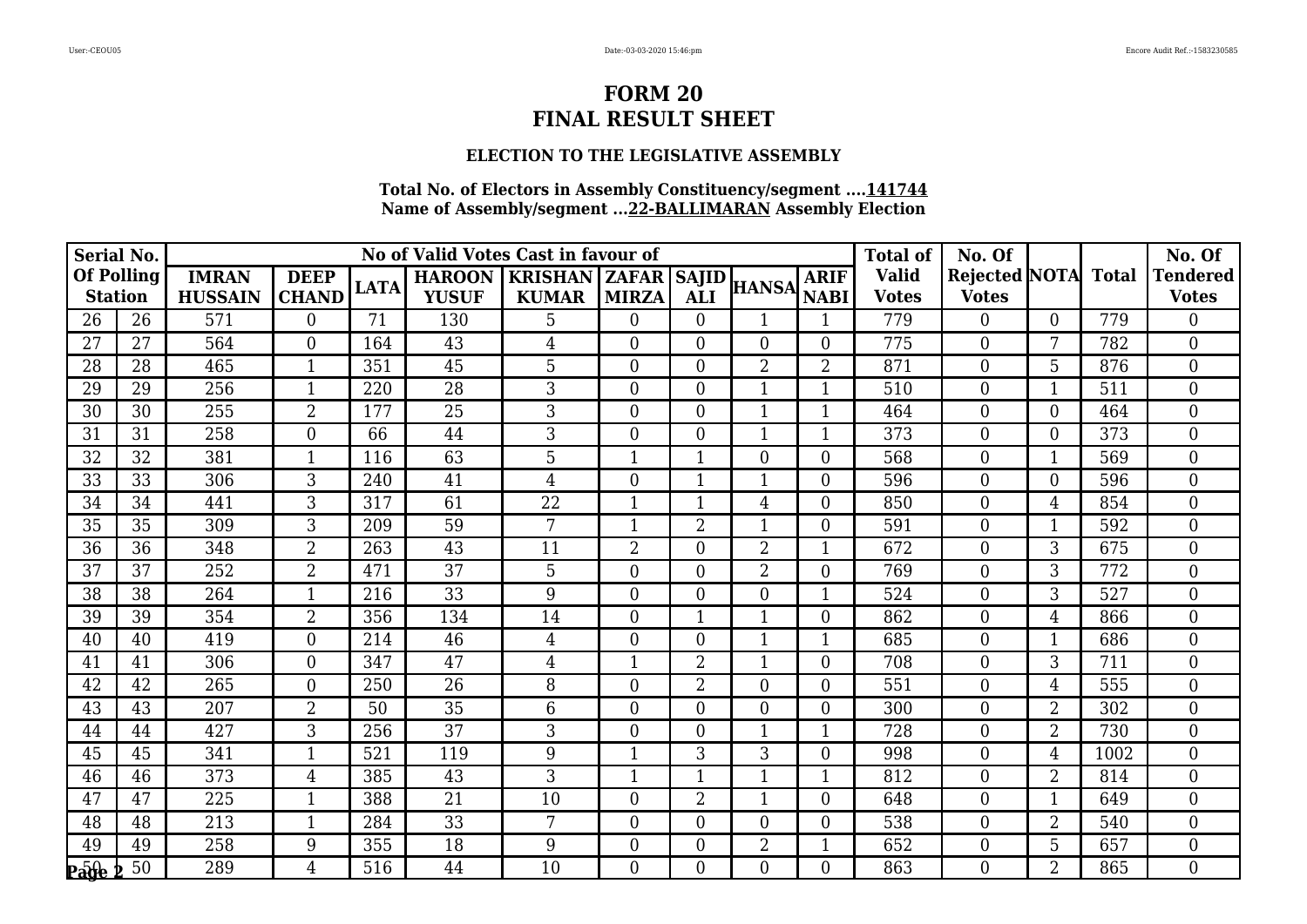### **ELECTION TO THE LEGISLATIVE ASSEMBLY**

| <b>Serial No.</b>                   |    |                                |                             |             |                               | No of Valid Votes Cast in favour of            |                  |                  |                  |                            | <b>Total of</b>              | No. Of                              |                |      | No. Of                          |
|-------------------------------------|----|--------------------------------|-----------------------------|-------------|-------------------------------|------------------------------------------------|------------------|------------------|------------------|----------------------------|------------------------------|-------------------------------------|----------------|------|---------------------------------|
| <b>Of Polling</b><br><b>Station</b> |    | <b>IMRAN</b><br><b>HUSSAIN</b> | <b>DEEP</b><br><b>CHAND</b> | <b>LATA</b> | <b>HAROON</b><br><b>YUSUF</b> | <b>KRISHAN   ZAFAR   SAJID</b><br><b>KUMAR</b> | <b>MIRZA</b>     | <b>ALI</b>       | <b>HANSA</b>     | <b>ARIF</b><br><b>NABI</b> | <b>Valid</b><br><b>Votes</b> | Rejected NOTA Total<br><b>Votes</b> |                |      | <b>Tendered</b><br><b>Votes</b> |
| 26                                  | 26 | 571                            | $\theta$                    | 71          | 130                           | 5                                              | $\overline{0}$   | $\overline{0}$   | 1                | 1                          | 779                          | $\overline{0}$                      | $\Omega$       | 779  | $\overline{0}$                  |
| 27                                  | 27 | 564                            | $\overline{0}$              | 164         | 43                            | $\overline{4}$                                 | $\boldsymbol{0}$ | $\boldsymbol{0}$ | $\boldsymbol{0}$ | $\overline{0}$             | 775                          | $\overline{0}$                      | 7              | 782  | $\mathbf{0}$                    |
| 28                                  | 28 | 465                            | $\overline{1}$              | 351         | 45                            | 5                                              | $\overline{0}$   | $\overline{0}$   | $\overline{2}$   | $\overline{2}$             | 871                          | $\overline{0}$                      | 5              | 876  | $\overline{0}$                  |
| 29                                  | 29 | 256                            | $\mathbf 1$                 | 220         | 28                            | 3                                              | $\overline{0}$   | $\boldsymbol{0}$ | $\mathbf{1}$     | 1                          | 510                          | 0                                   |                | 511  | $\overline{0}$                  |
| 30                                  | 30 | 255                            | $\overline{2}$              | 177         | 25                            | 3                                              | $\boldsymbol{0}$ | $\boldsymbol{0}$ | $\mathbf{1}$     | $\mathbf{1}$               | 464                          | $\boldsymbol{0}$                    | $\theta$       | 464  | $\boldsymbol{0}$                |
| 31                                  | 31 | 258                            | $\overline{0}$              | 66          | 44                            | 3                                              | $\overline{0}$   | $\overline{0}$   | $\mathbf{1}$     | $\overline{1}$             | 373                          | $\boldsymbol{0}$                    | $\Omega$       | 373  | $\overline{0}$                  |
| 32                                  | 32 | 381                            |                             | 116         | 63                            | 5                                              | 1                |                  | $\boldsymbol{0}$ | $\boldsymbol{0}$           | 568                          | $\mathbf{0}$                        |                | 569  | $\overline{0}$                  |
| 33                                  | 33 | 306                            | 3                           | 240         | 41                            | $\overline{4}$                                 | $\mathbf{0}$     | 1                | $\mathbf{1}$     | $\boldsymbol{0}$           | 596                          | $\boldsymbol{0}$                    | $\theta$       | 596  | $\mathbf{0}$                    |
| 34                                  | 34 | 441                            | 3                           | 317         | 61                            | 22                                             | $\mathbf{1}$     | $\mathbf{1}$     | $\overline{4}$   | $\overline{0}$             | 850                          | $\overline{0}$                      | 4              | 854  | $\theta$                        |
| 35                                  | 35 | 309                            | 3                           | 209         | 59                            | 7                                              | 1                | $\sqrt{2}$       | $\mathbf{1}$     | $\boldsymbol{0}$           | 591                          | $\boldsymbol{0}$                    |                | 592  | $\mathbf{0}$                    |
| 36                                  | 36 | 348                            | $\overline{2}$              | 263         | 43                            | 11                                             | 2                | $\overline{0}$   | $\overline{2}$   | $\mathbf{1}$               | 672                          | $\boldsymbol{0}$                    | 3              | 675  | $\boldsymbol{0}$                |
| 37                                  | 37 | 252                            | $\overline{2}$              | 471         | 37                            | 5                                              | $\overline{0}$   | $\boldsymbol{0}$ | $\overline{2}$   | $\overline{0}$             | 769                          | $\overline{0}$                      | 3              | 772  | $\overline{0}$                  |
| 38                                  | 38 | 264                            |                             | 216         | 33                            | 9                                              | $\overline{0}$   | $\boldsymbol{0}$ | $\boldsymbol{0}$ | $\mathbf{1}$               | 524                          | $\boldsymbol{0}$                    | 3              | 527  | $\boldsymbol{0}$                |
| 39                                  | 39 | 354                            | $\overline{2}$              | 356         | 134                           | 14                                             | $\mathbf{0}$     | $\mathbf{1}$     | $\overline{1}$   | $\boldsymbol{0}$           | 862                          | $\mathbf{0}$                        | $\overline{4}$ | 866  | $\overline{0}$                  |
| 40                                  | 40 | 419                            | $\overline{0}$              | 214         | 46                            | $\overline{4}$                                 | $\overline{0}$   | $\overline{0}$   | $\mathbf{1}$     | $\mathbf{1}$               | 685                          | $\overline{0}$                      |                | 686  | $\overline{0}$                  |
| 41                                  | 41 | 306                            | $\overline{0}$              | 347         | 47                            | $\overline{4}$                                 | 1                | $\overline{2}$   | $\mathbf{1}$     | $\overline{0}$             | 708                          | $\boldsymbol{0}$                    | 3              | 711  | $\overline{0}$                  |
| 42                                  | 42 | 265                            | $\theta$                    | 250         | 26                            | 8                                              | $\boldsymbol{0}$ | $\overline{2}$   | $\mathbf{0}$     | $\boldsymbol{0}$           | 551                          | $\boldsymbol{0}$                    | $\overline{4}$ | 555  | $\overline{0}$                  |
| 43                                  | 43 | 207                            | $\overline{2}$              | 50          | 35                            | 6                                              | $\overline{0}$   | $\boldsymbol{0}$ | $\boldsymbol{0}$ | $\overline{0}$             | 300                          | $\boldsymbol{0}$                    | $\overline{2}$ | 302  | $\mathbf{0}$                    |
| 44                                  | 44 | 427                            | 3                           | 256         | 37                            | 3                                              | $\overline{0}$   | $\boldsymbol{0}$ | $\mathbf{1}$     | $\mathbf 1$                | 728                          | $\boldsymbol{0}$                    | $\overline{2}$ | 730  | $\mathbf{0}$                    |
| 45                                  | 45 | 341                            | $\mathbf{1}$                | 521         | 119                           | 9                                              | 1                | 3                | 3                | $\boldsymbol{0}$           | 998                          | $\boldsymbol{0}$                    | $\overline{4}$ | 1002 | $\mathbf{0}$                    |
| 46                                  | 46 | 373                            | 4                           | 385         | 43                            | 3                                              | 1                | $\mathbf{1}$     | $\overline{1}$   | $\mathbf 1$                | 812                          | $\overline{0}$                      | $\overline{2}$ | 814  | $\overline{0}$                  |
| 47                                  | 47 | 225                            | $\mathbf{1}$                | 388         | 21                            | 10                                             | $\boldsymbol{0}$ | $\overline{2}$   | $\mathbf{1}$     | $\boldsymbol{0}$           | 648                          | $\overline{0}$                      |                | 649  | $\overline{0}$                  |
| 48                                  | 48 | 213                            | $\mathbf{1}$                | 284         | 33                            | 7                                              | $\overline{0}$   | $\overline{0}$   | $\boldsymbol{0}$ | $\overline{0}$             | 538                          | $\boldsymbol{0}$                    | $\overline{2}$ | 540  | $\overline{0}$                  |
| 49                                  | 49 | 258                            | 9                           | 355         | 18                            | 9                                              | $\boldsymbol{0}$ | $\boldsymbol{0}$ | $\overline{2}$   | $\mathbf 1$                | 652                          | $\mathbf{0}$                        | 5              | 657  | $\boldsymbol{0}$                |
| $Pa0he$                             | 50 | 289                            | 4                           | 516         | 44                            | 10                                             | $\overline{0}$   | $\overline{0}$   | $\overline{0}$   | $\overline{0}$             | 863                          | $\overline{0}$                      | $\overline{2}$ | 865  | $\mathbf{0}$                    |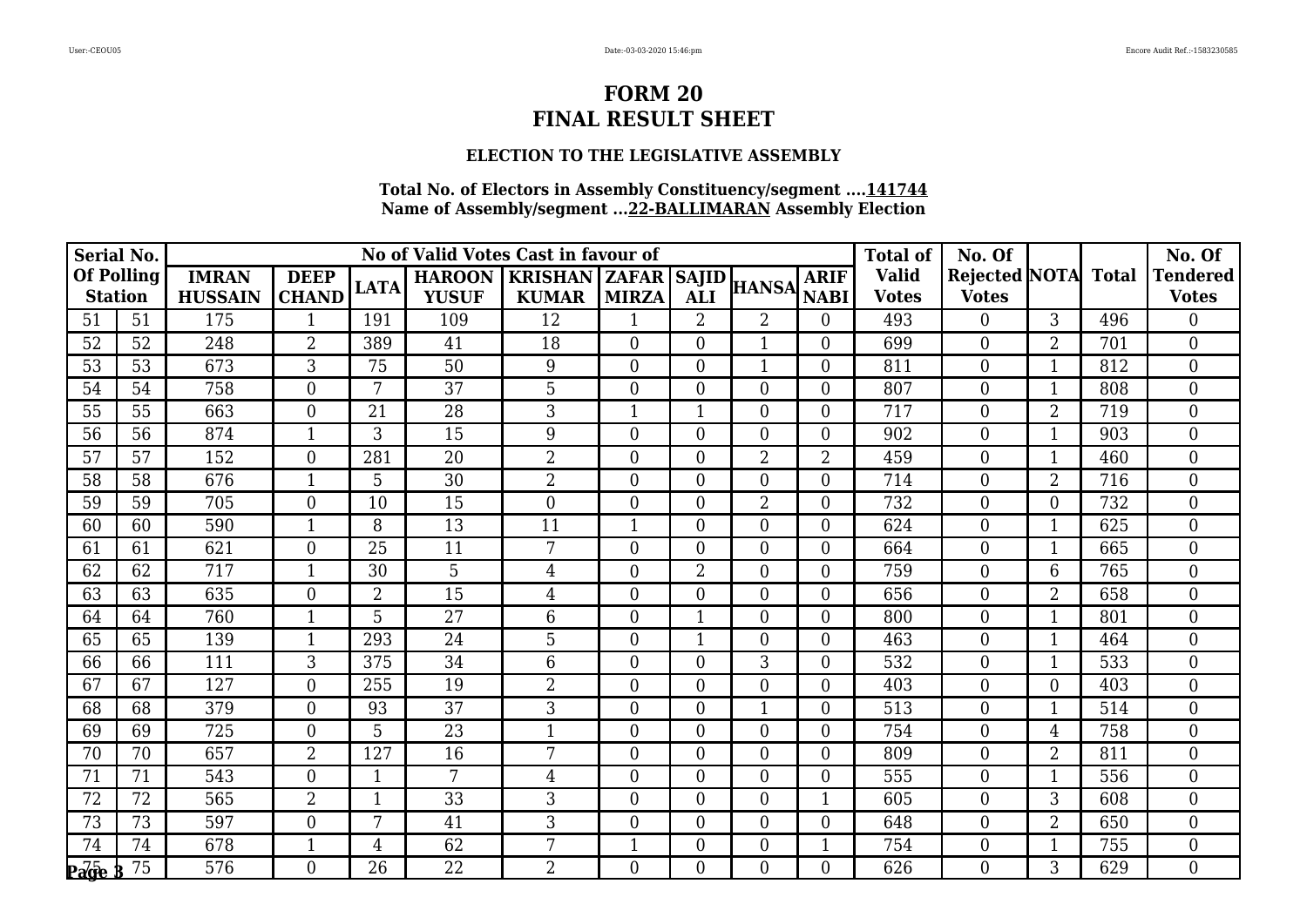### **ELECTION TO THE LEGISLATIVE ASSEMBLY**

| <b>Serial No.</b>                                                   |    |                                |                             |                |                               | No of Valid Votes Cast in favour of              |                  |                  |                  |                            | <b>Total of</b>              | No. Of                              |                |     | No. Of                          |
|---------------------------------------------------------------------|----|--------------------------------|-----------------------------|----------------|-------------------------------|--------------------------------------------------|------------------|------------------|------------------|----------------------------|------------------------------|-------------------------------------|----------------|-----|---------------------------------|
| <b>Of Polling</b><br><b>Station</b>                                 |    | <b>IMRAN</b><br><b>HUSSAIN</b> | <b>DEEP</b><br><b>CHAND</b> | <b>LATA</b>    | <b>HAROON</b><br><b>YUSUF</b> | <b>KRISHAN   ZAFAR   SAJID  </b><br><b>KUMAR</b> | <b>MIRZA</b>     | <b>ALI</b>       | <b>HANSA</b>     | <b>ARIF</b><br><b>NABI</b> | <b>Valid</b><br><b>Votes</b> | Rejected NOTA Total<br><b>Votes</b> |                |     | <b>Tendered</b><br><b>Votes</b> |
| 51                                                                  | 51 | 175                            | -1                          | 191            | 109                           | 12                                               | $\mathbf{1}$     | $\overline{2}$   | $\overline{2}$   | $\overline{0}$             | 493                          | $\overline{0}$                      | 3              | 496 | $\overline{0}$                  |
| 52                                                                  | 52 | 248                            | $\overline{2}$              | 389            | 41                            | 18                                               | $\overline{0}$   | $\boldsymbol{0}$ | $\mathbf{1}$     | $\overline{0}$             | 699                          | $\boldsymbol{0}$                    | $\overline{2}$ | 701 | $\boldsymbol{0}$                |
| 53                                                                  | 53 | 673                            | 3                           | 75             | 50                            | 9                                                | $\overline{0}$   | $\overline{0}$   | $\overline{1}$   | $\overline{0}$             | 811                          | $\overline{0}$                      |                | 812 | $\overline{0}$                  |
| 54                                                                  | 54 | 758                            | $\theta$                    | 7              | 37                            | 5                                                | $\overline{0}$   | $\boldsymbol{0}$ | $\boldsymbol{0}$ | $\boldsymbol{0}$           | 807                          | $\mathbf{0}$                        |                | 808 | $\overline{0}$                  |
| 55                                                                  | 55 | 663                            | $\boldsymbol{0}$            | 21             | 28                            | 3                                                | $\mathbf{1}$     | $\mathbf{1}$     | $\boldsymbol{0}$ | $\boldsymbol{0}$           | 717                          | $\boldsymbol{0}$                    | $\overline{2}$ | 719 | $\boldsymbol{0}$                |
| 56                                                                  | 56 | 874                            | $\mathbf{1}$                | 3              | 15                            | 9                                                | $\overline{0}$   | $\overline{0}$   | $\boldsymbol{0}$ | $\overline{0}$             | 902                          | $\boldsymbol{0}$                    | $\mathbf{1}$   | 903 | $\overline{0}$                  |
| 57                                                                  | 57 | 152                            | $\theta$                    | 281            | 20                            | $\overline{2}$                                   | $\overline{0}$   | $\boldsymbol{0}$ | $\overline{2}$   | $\overline{2}$             | 459                          | $\mathbf{0}$                        |                | 460 | $\overline{0}$                  |
| 58                                                                  | 58 | 676                            | $\mathbf{1}$                | 5              | 30                            | $\overline{2}$                                   | $\boldsymbol{0}$ | $\boldsymbol{0}$ | $\boldsymbol{0}$ | $\boldsymbol{0}$           | 714                          | $\boldsymbol{0}$                    | $\overline{2}$ | 716 | $\overline{0}$                  |
| 59                                                                  | 59 | 705                            | $\theta$                    | 10             | 15                            | $\Omega$                                         | $\overline{0}$   | $\overline{0}$   | $\overline{2}$   | $\overline{0}$             | 732                          | $\overline{0}$                      | $\Omega$       | 732 | $\theta$                        |
| 60                                                                  | 60 | 590                            |                             | 8              | 13                            | 11                                               | 1                | $\boldsymbol{0}$ | $\boldsymbol{0}$ | $\boldsymbol{0}$           | 624                          | $\boldsymbol{0}$                    |                | 625 | $\mathbf{0}$                    |
| 61                                                                  | 61 | 621                            | $\overline{0}$              | 25             | 11                            | 7                                                | $\boldsymbol{0}$ | $\boldsymbol{0}$ | $\boldsymbol{0}$ | $\boldsymbol{0}$           | 664                          | $\boldsymbol{0}$                    |                | 665 | $\boldsymbol{0}$                |
| 62                                                                  | 62 | 717                            | $\mathbf{1}$                | 30             | 5                             | $\overline{4}$                                   | $\overline{0}$   | $\overline{2}$   | $\boldsymbol{0}$ | $\overline{0}$             | 759                          | $\overline{0}$                      | 6              | 765 | $\overline{0}$                  |
| 63                                                                  | 63 | 635                            | $\overline{0}$              | $\overline{2}$ | 15                            | $\overline{4}$                                   | $\overline{0}$   | $\boldsymbol{0}$ | $\boldsymbol{0}$ | $\mathbf{0}$               | 656                          | $\boldsymbol{0}$                    | $\overline{2}$ | 658 | $\boldsymbol{0}$                |
| 64                                                                  | 64 | 760                            | $\overline{1}$              | 5              | $\overline{27}$               | $6\phantom{1}6$                                  | $\overline{0}$   | $\mathbf{1}$     | $\mathbf{0}$     | $\boldsymbol{0}$           | 800                          | $\boldsymbol{0}$                    |                | 801 | $\overline{0}$                  |
| 65                                                                  | 65 | 139                            | $\mathbf{1}$                | 293            | 24                            | 5                                                | $\overline{0}$   | $\mathbf{1}$     | $\boldsymbol{0}$ | $\overline{0}$             | 463                          | $\overline{0}$                      |                | 464 | $\overline{0}$                  |
| 66                                                                  | 66 | 111                            | 3                           | 375            | 34                            | 6                                                | $\overline{0}$   | $\overline{0}$   | 3                | $\overline{0}$             | 532                          | $\boldsymbol{0}$                    |                | 533 | $\mathbf{0}$                    |
| 67                                                                  | 67 | 127                            | $\overline{0}$              | 255            | 19                            | $\overline{2}$                                   | $\overline{0}$   | $\boldsymbol{0}$ | $\mathbf{0}$     | $\boldsymbol{0}$           | 403                          | $\boldsymbol{0}$                    | $\Omega$       | 403 | $\overline{0}$                  |
| 68                                                                  | 68 | 379                            | $\overline{0}$              | 93             | 37                            | 3                                                | $\overline{0}$   | $\boldsymbol{0}$ | $\mathbf{1}$     | $\overline{0}$             | 513                          | $\boldsymbol{0}$                    |                | 514 | $\mathbf{0}$                    |
| 69                                                                  | 69 | 725                            | $\overline{0}$              | 5              | 23                            | $\mathbf 1$                                      | $\boldsymbol{0}$ | $\boldsymbol{0}$ | $\boldsymbol{0}$ | $\overline{0}$             | 754                          | $\overline{0}$                      | 4              | 758 | $\mathbf{0}$                    |
| 70                                                                  | 70 | 657                            | $\overline{2}$              | 127            | 16                            | 7                                                | $\boldsymbol{0}$ | $\boldsymbol{0}$ | $\boldsymbol{0}$ | $\mathbf{0}$               | 809                          | $\boldsymbol{0}$                    | $\overline{2}$ | 811 | $\mathbf{0}$                    |
| 71                                                                  | 71 | 543                            | $\overline{0}$              | 1              | 7                             | 4                                                | $\overline{0}$   | $\overline{0}$   | $\overline{0}$   | $\overline{0}$             | 555                          | $\overline{0}$                      |                | 556 | $\overline{0}$                  |
| 72                                                                  | 72 | 565                            | $\overline{2}$              | $\mathbf{1}$   | 33                            | $\mathfrak{Z}$                                   | $\boldsymbol{0}$ | $\boldsymbol{0}$ | $\mathbf{0}$     | $\mathbf{1}$               | 605                          | $\overline{0}$                      | $\overline{3}$ | 608 | $\mathbf{0}$                    |
| 73                                                                  | 73 | 597                            | $\theta$                    | 7              | 41                            | 3                                                | $\overline{0}$   | $\overline{0}$   | $\boldsymbol{0}$ | $\overline{0}$             | 648                          | $\boldsymbol{0}$                    | $\overline{2}$ | 650 | $\overline{0}$                  |
| 74                                                                  | 74 | 678                            | 1                           | $\overline{4}$ | 62                            | 7                                                | 1                | $\boldsymbol{0}$ | $\boldsymbol{0}$ | $\mathbf 1$                | 754                          | $\mathbf{0}$                        |                | 755 | $\mathbf{0}$                    |
| $\mathbf{P} \overline{\mathbf{a}} \overline{\mathbf{g}} \mathbf{e}$ | 75 | 576                            | $\overline{0}$              | 26             | $\overline{22}$               | $\overline{2}$                                   | $\overline{0}$   | $\overline{0}$   | $\overline{0}$   | $\overline{0}$             | 626                          | $\overline{0}$                      | 3              | 629 | $\overline{0}$                  |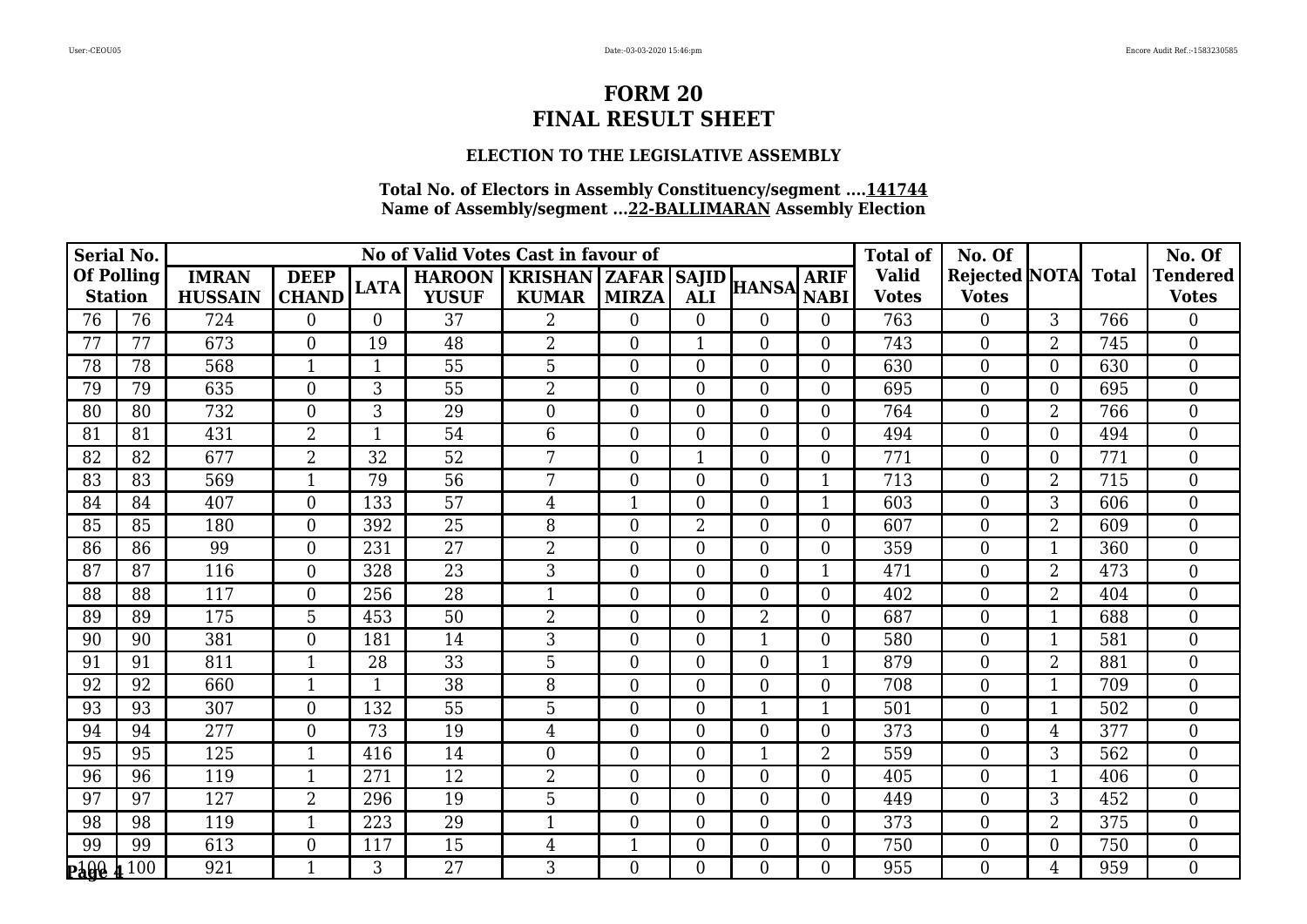### **ELECTION TO THE LEGISLATIVE ASSEMBLY**

| <b>Serial No.</b>                   |     |                                |                             |              |                               | No of Valid Votes Cast in favour of              |                  |                  |                  |                            | <b>Total of</b>              | No. Of                              |                |     | No. Of                          |
|-------------------------------------|-----|--------------------------------|-----------------------------|--------------|-------------------------------|--------------------------------------------------|------------------|------------------|------------------|----------------------------|------------------------------|-------------------------------------|----------------|-----|---------------------------------|
| <b>Of Polling</b><br><b>Station</b> |     | <b>IMRAN</b><br><b>HUSSAIN</b> | <b>DEEP</b><br><b>CHAND</b> | <b>LATA</b>  | <b>HAROON</b><br><b>YUSUF</b> | <b>KRISHAN   ZAFAR   SAJID  </b><br><b>KUMAR</b> | <b>MIRZA</b>     | <b>ALI</b>       | <b>HANSA</b>     | <b>ARIF</b><br><b>NABI</b> | <b>Valid</b><br><b>Votes</b> | Rejected NOTA Total<br><b>Votes</b> |                |     | <b>Tendered</b><br><b>Votes</b> |
| 76                                  | 76  | 724                            | $\theta$                    | $\Omega$     | 37                            | $\overline{2}$                                   | $\overline{0}$   | $\overline{0}$   | $\overline{0}$   | $\overline{0}$             | 763                          | $\overline{0}$                      | 3              | 766 | $\overline{0}$                  |
| 77                                  | 77  | 673                            | $\overline{0}$              | 19           | 48                            | $\overline{2}$                                   | $\boldsymbol{0}$ | $\mathbf{1}$     | $\boldsymbol{0}$ | $\overline{0}$             | 743                          | $\boldsymbol{0}$                    | $\overline{2}$ | 745 | $\mathbf{0}$                    |
| 78                                  | 78  | 568                            | $\overline{1}$              | $\mathbf 1$  | 55                            | 5                                                | $\overline{0}$   | $\overline{0}$   | $\boldsymbol{0}$ | $\overline{0}$             | 630                          | $\overline{0}$                      | $\Omega$       | 630 | $\overline{0}$                  |
| 79                                  | 79  | 635                            | $\overline{0}$              | 3            | 55                            | $\overline{2}$                                   | $\overline{0}$   | $\boldsymbol{0}$ | $\boldsymbol{0}$ | $\boldsymbol{0}$           | 695                          | $\mathbf{0}$                        | $\Omega$       | 695 | $\overline{0}$                  |
| 80                                  | 80  | 732                            | $\boldsymbol{0}$            | 3            | 29                            | $\overline{0}$                                   | $\boldsymbol{0}$ | $\boldsymbol{0}$ | $\boldsymbol{0}$ | $\boldsymbol{0}$           | 764                          | $\boldsymbol{0}$                    | $\overline{2}$ | 766 | $\boldsymbol{0}$                |
| 81                                  | 81  | 431                            | 2                           | $\mathbf{1}$ | 54                            | 6                                                | $\overline{0}$   | $\overline{0}$   | $\boldsymbol{0}$ | $\overline{0}$             | 494                          | $\boldsymbol{0}$                    | $\Omega$       | 494 | $\overline{0}$                  |
| 82                                  | 82  | 677                            | $\overline{2}$              | 32           | 52                            | 7                                                | $\overline{0}$   |                  | $\boldsymbol{0}$ | $\mathbf{0}$               | 771                          | $\mathbf{0}$                        | $\Omega$       | 771 | $\overline{0}$                  |
| 83                                  | 83  | 569                            | $\mathbf{1}$                | 79           | 56                            | 7                                                | $\boldsymbol{0}$ | $\boldsymbol{0}$ | $\mathbf{0}$     | $\mathbf{1}$               | 713                          | $\boldsymbol{0}$                    | $\overline{2}$ | 715 | $\overline{0}$                  |
| 84                                  | 84  | 407                            | $\theta$                    | 133          | 57                            | $\overline{4}$                                   | $\mathbf{1}$     | $\overline{0}$   | $\overline{0}$   | $\mathbf{1}$               | 603                          | $\overline{0}$                      | 3              | 606 | $\theta$                        |
| 85                                  | 85  | 180                            | $\overline{0}$              | 392          | 25                            | 8                                                | $\overline{0}$   | $\sqrt{2}$       | $\boldsymbol{0}$ | $\boldsymbol{0}$           | 607                          | $\mathbf{0}$                        | $\overline{2}$ | 609 | $\mathbf{0}$                    |
| 86                                  | 86  | 99                             | $\overline{0}$              | 231          | 27                            | $\overline{2}$                                   | $\boldsymbol{0}$ | $\overline{0}$   | $\boldsymbol{0}$ | $\boldsymbol{0}$           | 359                          | $\boldsymbol{0}$                    |                | 360 | $\boldsymbol{0}$                |
| 87                                  | 87  | 116                            | $\overline{0}$              | 328          | 23                            | 3                                                | $\overline{0}$   | $\boldsymbol{0}$ | $\boldsymbol{0}$ | $\mathbf{1}$               | 471                          | $\overline{0}$                      | $\overline{2}$ | 473 | $\overline{0}$                  |
| 88                                  | 88  | 117                            | $\overline{0}$              | 256          | 28                            |                                                  | $\boldsymbol{0}$ | $\boldsymbol{0}$ | $\boldsymbol{0}$ | $\mathbf{0}$               | 402                          | $\boldsymbol{0}$                    | $\overline{2}$ | 404 | $\boldsymbol{0}$                |
| 89                                  | 89  | 175                            | $\overline{5}$              | 453          | $\overline{50}$               | $\overline{2}$                                   | $\boldsymbol{0}$ | $\overline{0}$   | $\overline{2}$   | $\mathbf{0}$               | 687                          | $\boldsymbol{0}$                    |                | 688 | $\overline{0}$                  |
| 90                                  | 90  | 381                            | $\overline{0}$              | 181          | 14                            | 3                                                | $\overline{0}$   | $\overline{0}$   | $\mathbf{1}$     | $\overline{0}$             | 580                          | $\overline{0}$                      |                | 581 | $\overline{0}$                  |
| 91                                  | 91  | 811                            | -1                          | 28           | 33                            | 5                                                | $\overline{0}$   | $\overline{0}$   | $\boldsymbol{0}$ | 1                          | 879                          | $\boldsymbol{0}$                    | $\overline{2}$ | 881 | $\mathbf{0}$                    |
| 92                                  | 92  | 660                            | $\mathbf{1}$                | $\mathbf{1}$ | 38                            | 8                                                | $\boldsymbol{0}$ | $\boldsymbol{0}$ | $\mathbf{0}$     | $\mathbf{0}$               | 708                          | $\boldsymbol{0}$                    |                | 709 | $\overline{0}$                  |
| 93                                  | 93  | 307                            | $\boldsymbol{0}$            | 132          | 55                            | 5                                                | $\overline{0}$   | $\boldsymbol{0}$ | $\mathbf{1}$     | 1                          | 501                          | $\boldsymbol{0}$                    |                | 502 | $\mathbf{0}$                    |
| 94                                  | 94  | 277                            | $\overline{0}$              | 73           | 19                            | $\overline{4}$                                   | $\boldsymbol{0}$ | $\boldsymbol{0}$ | $\boldsymbol{0}$ | $\boldsymbol{0}$           | 373                          | $\boldsymbol{0}$                    | 4              | 377 | $\mathbf{0}$                    |
| 95                                  | 95  | 125                            | $\mathbf{1}$                | 416          | 14                            | $\theta$                                         | $\boldsymbol{0}$ | $\boldsymbol{0}$ | $\overline{1}$   | $\overline{2}$             | 559                          | $\boldsymbol{0}$                    | 3              | 562 | $\mathbf{0}$                    |
| 96                                  | 96  | 119                            | $\mathbf 1$                 | 271          | 12                            | $\overline{2}$                                   | $\overline{0}$   | $\overline{0}$   | $\overline{0}$   | $\overline{0}$             | 405                          | $\overline{0}$                      |                | 406 | $\overline{0}$                  |
| 97                                  | 97  | 127                            | $\overline{2}$              | 296          | 19                            | 5                                                | $\boldsymbol{0}$ | $\boldsymbol{0}$ | $\mathbf{0}$     | $\boldsymbol{0}$           | 449                          | $\overline{0}$                      | $\mathfrak{Z}$ | 452 | $\mathbf{0}$                    |
| 98                                  | 98  | 119                            | $\mathbf{1}$                | 223          | 29                            | $\mathbf{1}$                                     | $\overline{0}$   | $\overline{0}$   | $\boldsymbol{0}$ | $\overline{0}$             | 373                          | $\boldsymbol{0}$                    | $\overline{2}$ | 375 | $\overline{0}$                  |
| 99                                  | 99  | 613                            | $\overline{0}$              | 117          | 15                            | $\overline{4}$                                   | 1                | $\boldsymbol{0}$ | $\boldsymbol{0}$ | $\boldsymbol{0}$           | 750                          | $\mathbf{0}$                        | $\Omega$       | 750 | $\boldsymbol{0}$                |
| <b>Page</b>                         | 100 | 921                            | 1                           | 3            | $\overline{27}$               | 3                                                | $\overline{0}$   | $\overline{0}$   | $\overline{0}$   | $\overline{0}$             | 955                          | $\overline{0}$                      | 4              | 959 | $\mathbf{0}$                    |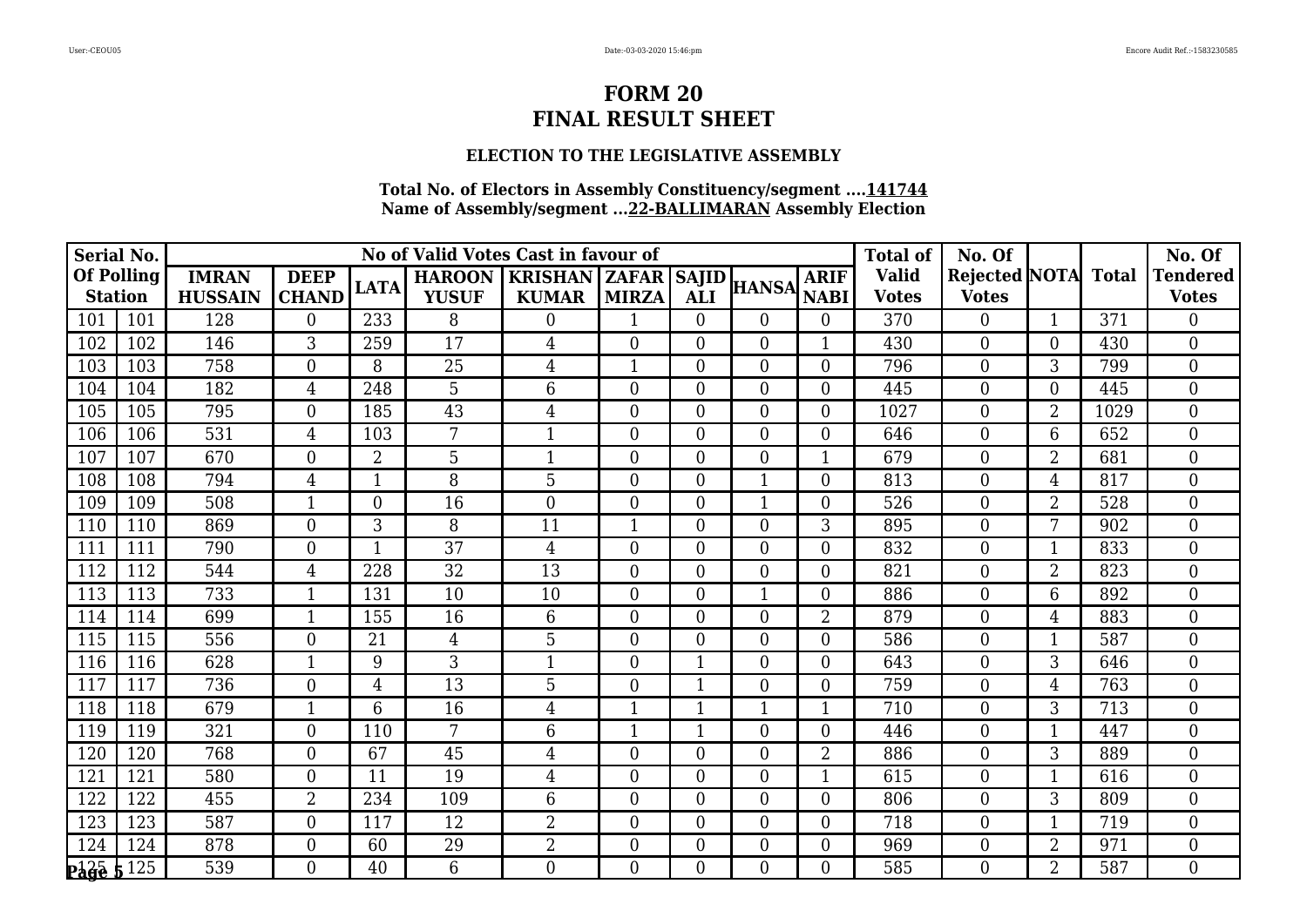### **ELECTION TO THE LEGISLATIVE ASSEMBLY**

| <b>Serial No.</b>          |           |                |                  |                |                 | No of Valid Votes Cast in favour of |                |                  |                  |                  | <b>Total of</b> | No. Of                     |                |      | No. Of          |
|----------------------------|-----------|----------------|------------------|----------------|-----------------|-------------------------------------|----------------|------------------|------------------|------------------|-----------------|----------------------------|----------------|------|-----------------|
| <b>Of Polling</b>          |           | <b>IMRAN</b>   | <b>DEEP</b>      | <b>LATA</b>    | <b>HAROON</b>   | <b>KRISHAN   ZAFAR   SAJID  </b>    |                |                  | <b>HANSA</b>     | <b>ARIF</b>      | <b>Valid</b>    | <b>Rejected NOTA</b> Total |                |      | <b>Tendered</b> |
| <b>Station</b>             |           | <b>HUSSAIN</b> | <b>CHAND</b>     |                | <b>YUSUF</b>    | <b>KUMAR</b>                        | <b>MIRZA</b>   | <b>ALI</b>       |                  | <b>NABI</b>      | <b>Votes</b>    | <b>Votes</b>               |                |      | <b>Votes</b>    |
| 101                        | 101       | 128            | $\theta$         | 233            | 8               | $\overline{0}$                      | 1              | $\overline{0}$   | $\Omega$         | $\overline{0}$   | 370             | $\overline{0}$             |                | 371  | 0               |
| 102                        | 102       | 146            | 3                | 259            | 17              | $\overline{4}$                      | $\overline{0}$ | $\boldsymbol{0}$ | $\boldsymbol{0}$ | $\mathbf{1}$     | 430             | $\boldsymbol{0}$           | $\theta$       | 430  | $\mathbf{0}$    |
| 103                        | 103       | 758            | $\theta$         | 8              | 25              | $\overline{4}$                      | 1              | $\overline{0}$   | $\overline{0}$   | $\overline{0}$   | 796             | $\overline{0}$             | 3              | 799  | $\overline{0}$  |
| 104                        | 104       | 182            | 4                | 248            | 5               | 6                                   | 0              | $\boldsymbol{0}$ | $\boldsymbol{0}$ | $\boldsymbol{0}$ | 445             | $\boldsymbol{0}$           | $\theta$       | 445  | $\overline{0}$  |
| 105                        | 105       | 795            | $\boldsymbol{0}$ | 185            | 43              | $\overline{4}$                      | 0              | $\overline{0}$   | $\boldsymbol{0}$ | $\boldsymbol{0}$ | 1027            | $\boldsymbol{0}$           | $\overline{2}$ | 1029 | $\mathbf{0}$    |
| 106                        | 106       | 531            | $\overline{4}$   | 103            | 7               | $\mathbf{1}$                        | $\overline{0}$ | $\overline{0}$   | $\overline{0}$   | $\boldsymbol{0}$ | 646             | $\overline{0}$             | 6              | 652  | $\overline{0}$  |
| 107                        | 107       | 670            | $\theta$         | $\overline{2}$ | 5               | -1                                  | $\overline{0}$ | $\mathbf{0}$     | $\overline{0}$   | $\mathbf{1}$     | 679             | $\overline{0}$             | $\overline{2}$ | 681  | $\overline{0}$  |
| 108                        | 108       | 794            | $\overline{4}$   | $\mathbf{1}$   | 8               | 5                                   | $\overline{0}$ | $\boldsymbol{0}$ | $\mathbf{1}$     | $\boldsymbol{0}$ | 813             | $\boldsymbol{0}$           | 4              | 817  | $\mathbf{0}$    |
| 109                        | 109       | 508            | $\mathbf{1}$     | $\theta$       | 16              | $\theta$                            | $\overline{0}$ | $\overline{0}$   | $\mathbf{1}$     | $\overline{0}$   | 526             | $\overline{0}$             | $\overline{2}$ | 528  | $\theta$        |
| 110                        | 110       | 869            | $\theta$         | 3              | 8               | 11                                  | 1              | $\overline{0}$   | $\boldsymbol{0}$ | 3                | 895             | $\boldsymbol{0}$           | 7              | 902  | $\mathbf{0}$    |
| 111                        | 111       | 790            | $\mathbf{0}$     | 1              | 37              | $\overline{4}$                      | 0              | $\boldsymbol{0}$ | $\boldsymbol{0}$ | $\boldsymbol{0}$ | 832             | $\boldsymbol{0}$           |                | 833  | $\mathbf{0}$    |
| 112                        | 112       | 544            | $\overline{4}$   | 228            | 32              | 13                                  | $\overline{0}$ | $\boldsymbol{0}$ | $\overline{0}$   | $\boldsymbol{0}$ | 821             | $\overline{0}$             | $\overline{2}$ | 823  | $\overline{0}$  |
| 113                        | 113       | 733            | $\mathbf{1}$     | 131            | 10              | 10                                  | $\overline{0}$ | $\boldsymbol{0}$ | $\overline{1}$   | $\boldsymbol{0}$ | 886             | $\boldsymbol{0}$           | 6              | 892  | $\mathbf{0}$    |
| 114                        | 114       | 699            | $\mathbf{1}$     | 155            | 16              | $6\phantom{1}6$                     | $\overline{0}$ | $\overline{0}$   | $\overline{0}$   | $\overline{2}$   | 879             | $\boldsymbol{0}$           | $\overline{4}$ | 883  | $\overline{0}$  |
| 115                        | 115       | 556            | $\overline{0}$   | 21             | 4               | 5                                   | $\overline{0}$ | $\overline{0}$   | $\overline{0}$   | $\boldsymbol{0}$ | 586             | $\overline{0}$             | 1              | 587  | $\overline{0}$  |
| 116                        | 116       | 628            | $\mathbf{1}$     | 9              | 3               | $\mathbf{1}$                        | $\overline{0}$ | 1                | $\overline{0}$   | $\boldsymbol{0}$ | 643             | $\overline{0}$             | 3              | 646  | $\overline{0}$  |
| 117                        | 117       | 736            | $\theta$         | $\overline{4}$ | 13              | 5                                   | 0              | $\mathbf{1}$     | $\boldsymbol{0}$ | $\boldsymbol{0}$ | 759             | $\boldsymbol{0}$           | 4              | 763  | $\overline{0}$  |
| 118                        | 118       | 679            | $\mathbf 1$      | 6              | 16              | $\overline{4}$                      | 1              | $\mathbf{1}$     | $\mathbf{1}$     | $\mathbf{1}$     | 710             | $\boldsymbol{0}$           | 3              | 713  | $\overline{0}$  |
| 119                        | 119       | 321            | $\overline{0}$   | 110            | 7               | 6                                   | 1              | $\mathbf 1$      | $\boldsymbol{0}$ | $\boldsymbol{0}$ | 446             | $\boldsymbol{0}$           |                | 447  | $\mathbf{0}$    |
| 120                        | 120       | 768            | $\theta$         | 67             | 45              | $\overline{4}$                      | $\overline{0}$ | $\overline{0}$   | $\boldsymbol{0}$ | $\overline{2}$   | 886             | $\boldsymbol{0}$           | 3              | 889  | $\overline{0}$  |
| 121                        | 121       | 580            | $\overline{0}$   | 11             | 19              | $\overline{4}$                      | 0              | $\overline{0}$   | $\overline{0}$   | 1                | 615             | $\overline{0}$             |                | 616  | $\overline{0}$  |
| 122                        | 122       | 455            | $\overline{2}$   | 234            | 109             | 6                                   | $\overline{0}$ | $\boldsymbol{0}$ | $\boldsymbol{0}$ | $\boldsymbol{0}$ | 806             | $\overline{0}$             | $\overline{3}$ | 809  | $\overline{0}$  |
| 123                        | 123       | 587            | $\theta$         | 117            | 12              | $\overline{2}$                      | $\overline{0}$ | $\overline{0}$   | $\overline{0}$   | $\boldsymbol{0}$ | 718             | $\boldsymbol{0}$           | 1              | 719  | $\overline{0}$  |
| 124                        | 124       | 878            | $\overline{0}$   | 60             | 29              | $\overline{2}$                      | 0              | $\boldsymbol{0}$ | $\boldsymbol{0}$ | $\boldsymbol{0}$ | 969             | $\boldsymbol{0}$           | $\overline{2}$ | 971  | $\overline{0}$  |
| $P\ddot{a}\ddot{q}\dot{e}$ | $5^{125}$ | 539            | $\overline{0}$   | 40             | $6\phantom{1}6$ | $\overline{0}$                      | $\overline{0}$ | $\overline{0}$   | $\overline{0}$   | $\overline{0}$   | 585             | $\overline{0}$             | $\overline{2}$ | 587  | $\mathbf{0}$    |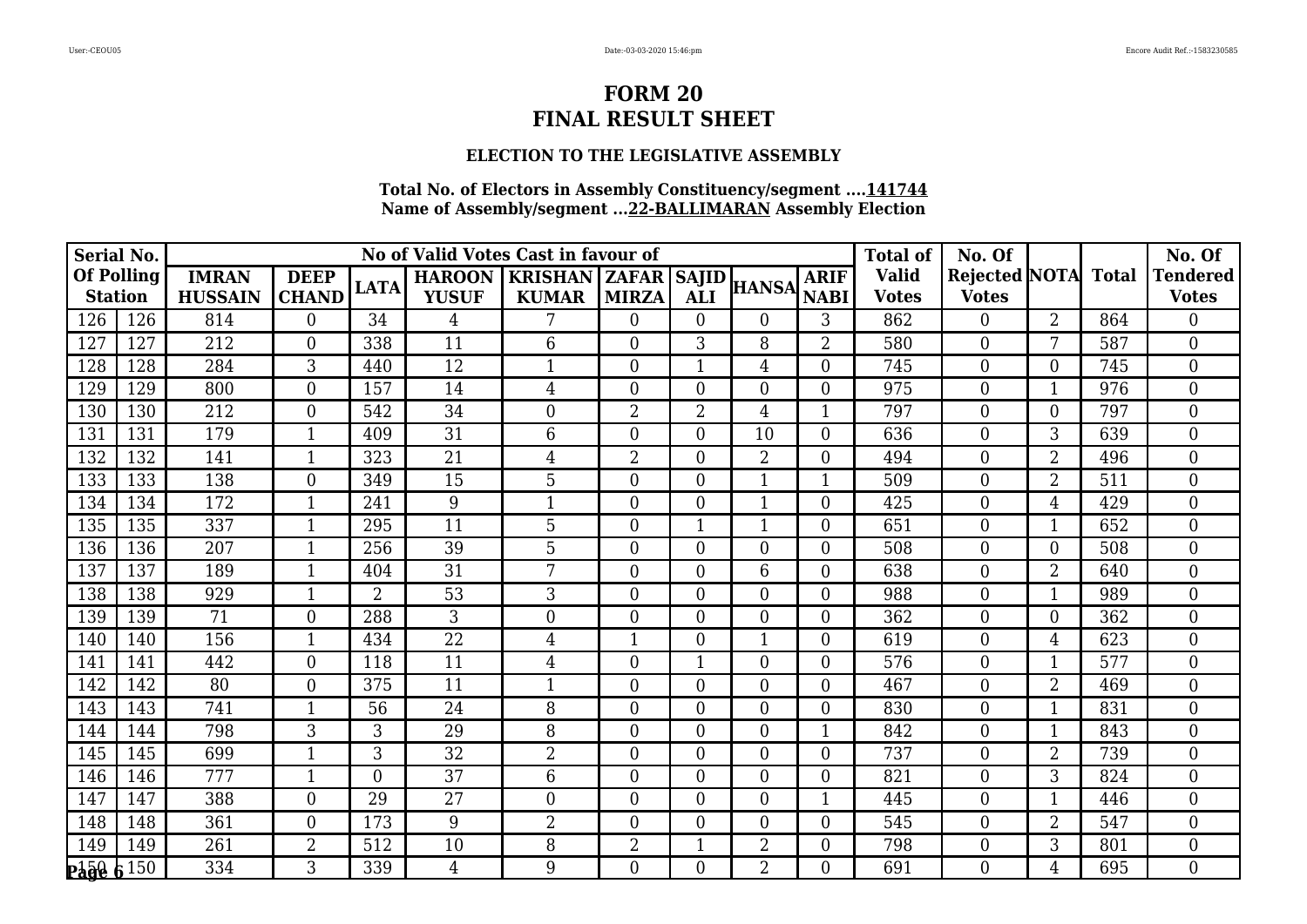### **ELECTION TO THE LEGISLATIVE ASSEMBLY**

| <b>Serial No.</b> |                 |                  |                  |                |                 | No of Valid Votes Cast in favour of |                |                  |                  |                  | <b>Total of</b> | No. Of                     |                |     | No. Of           |
|-------------------|-----------------|------------------|------------------|----------------|-----------------|-------------------------------------|----------------|------------------|------------------|------------------|-----------------|----------------------------|----------------|-----|------------------|
| <b>Of Polling</b> |                 | <b>IMRAN</b>     | <b>DEEP</b>      | <b>LATA</b>    | <b>HAROON</b>   | <b>KRISHAN   ZAFAR   SAJID  </b>    |                |                  | <b>HANSA</b>     | <b>ARIF</b>      | <b>Valid</b>    | <b>Rejected NOTA</b> Total |                |     | <b>Tendered</b>  |
| <b>Station</b>    |                 | <b>HUSSAIN</b>   | <b>CHAND</b>     |                | <b>YUSUF</b>    | <b>KUMAR</b>                        | <b>MIRZA</b>   | <b>ALI</b>       |                  | <b>NABI</b>      | <b>Votes</b>    | <b>Votes</b>               |                |     | <b>Votes</b>     |
| 126               | 126             | 814              | $\theta$         | 34             | 4               | 7                                   | $\overline{0}$ | $\theta$         | $\Omega$         | 3                | 862             | $\overline{0}$             | 2              | 864 | 0                |
| 127               | 127             | 212              | $\overline{0}$   | 338            | 11              | 6                                   | 0              | 3                | 8                | $\overline{2}$   | 580             | $\boldsymbol{0}$           | 7              | 587 | $\mathbf{0}$     |
| 128               | 128             | 284              | 3                | 440            | 12              | $\mathbf{1}$                        | $\overline{0}$ | 1                | 4                | $\overline{0}$   | 745             | $\overline{0}$             | $\Omega$       | 745 | $\overline{0}$   |
| 129               | 129             | 800              | $\overline{0}$   | 157            | 14              | $\overline{4}$                      | 0              | $\boldsymbol{0}$ | 0                | $\boldsymbol{0}$ | 975             | $\boldsymbol{0}$           |                | 976 | $\overline{0}$   |
| 130               | 130             | 212              | $\boldsymbol{0}$ | 542            | 34              | $\boldsymbol{0}$                    | $\overline{2}$ | $\overline{2}$   | 4                | $\mathbf{1}$     | 797             | $\boldsymbol{0}$           | $\overline{0}$ | 797 | $\boldsymbol{0}$ |
| 131               | 131             | 179              | $\mathbf{1}$     | 409            | 31              | 6                                   | $\overline{0}$ | $\overline{0}$   | 10               | $\overline{0}$   | 636             | $\overline{0}$             | 3              | 639 | $\overline{0}$   |
| 132               | 132             | 141              |                  | 323            | 21              | $\overline{4}$                      | $\overline{2}$ | $\mathbf{0}$     | $\overline{2}$   | $\boldsymbol{0}$ | 494             | $\overline{0}$             | $\overline{2}$ | 496 | $\overline{0}$   |
| 133               | 133             | 138              | $\overline{0}$   | 349            | 15              | 5                                   | $\overline{0}$ | $\boldsymbol{0}$ | $\mathbf{1}$     | $\mathbf{1}$     | 509             | $\boldsymbol{0}$           | $\overline{2}$ | 511 | $\mathbf{0}$     |
| 134               | 134             | 172              | $\mathbf{1}$     | 241            | 9               | $\mathbf{1}$                        | $\overline{0}$ | $\overline{0}$   | $\mathbf{1}$     | $\overline{0}$   | 425             | $\overline{0}$             | 4              | 429 | $\theta$         |
| 135               | 135             | 337              | 1                | 295            | 11              | 5                                   | 0              | 1                | $\mathbf{1}$     | $\boldsymbol{0}$ | 651             | $\boldsymbol{0}$           |                | 652 | $\mathbf{0}$     |
| 136               | 136             | $\overline{207}$ | $\mathbf{1}$     | 256            | 39              | 5                                   | 0              | $\boldsymbol{0}$ | $\boldsymbol{0}$ | $\boldsymbol{0}$ | 508             | $\boldsymbol{0}$           | $\overline{0}$ | 508 | $\mathbf{0}$     |
| 137               | 137             | 189              | $\mathbf{1}$     | 404            | 31              | 7                                   | 0              | $\boldsymbol{0}$ | 6                | $\boldsymbol{0}$ | 638             | $\overline{0}$             | $\overline{2}$ | 640 | $\overline{0}$   |
| 138               | 138             | 929              | $\mathbf{1}$     | $\overline{2}$ | 53              | 3                                   | $\overline{0}$ | $\overline{0}$   | $\boldsymbol{0}$ | $\boldsymbol{0}$ | 988             | $\boldsymbol{0}$           |                | 989 | $\mathbf{0}$     |
| 139               | 139             | $\overline{71}$  | $\overline{0}$   | 288            | 3               | $\overline{0}$                      | $\overline{0}$ | $\overline{0}$   | $\overline{0}$   | $\boldsymbol{0}$ | 362             | $\boldsymbol{0}$           | $\overline{0}$ | 362 | $\overline{0}$   |
| 140               | 140             | 156              | $\mathbf{1}$     | 434            | $\overline{22}$ | $\overline{4}$                      | 1              | $\overline{0}$   | $\mathbf{1}$     | $\boldsymbol{0}$ | 619             | $\overline{0}$             | 4              | 623 | $\overline{0}$   |
| 141               | 141             | 442              | $\theta$         | 118            | 11              | $\overline{4}$                      | 0              | 1                | $\overline{0}$   | $\boldsymbol{0}$ | 576             | $\overline{0}$             |                | 577 | $\overline{0}$   |
| 142               | 142             | 80               | $\theta$         | 375            | 11              | $\mathbf{1}$                        | $\overline{0}$ | $\overline{0}$   | $\boldsymbol{0}$ | $\boldsymbol{0}$ | 467             | $\boldsymbol{0}$           | $\overline{2}$ | 469 | $\overline{0}$   |
| 143               | 143             | 741              | $\mathbf 1$      | 56             | 24              | 8                                   | $\overline{0}$ | $\overline{0}$   | $\overline{0}$   | $\boldsymbol{0}$ | 830             | $\boldsymbol{0}$           | -1             | 831 | $\overline{0}$   |
| 144               | 144             | 798              | 3                | 3              | 29              | 8                                   | 0              | $\boldsymbol{0}$ | $\boldsymbol{0}$ | $\mathbf{1}$     | 842             | $\boldsymbol{0}$           |                | 843 | $\mathbf{0}$     |
| 145               | 145             | 699              | $\mathbf{1}$     | 3              | 32              | $\overline{2}$                      | $\overline{0}$ | $\overline{0}$   | $\boldsymbol{0}$ | $\boldsymbol{0}$ | 737             | $\boldsymbol{0}$           | $\overline{2}$ | 739 | $\mathbf{0}$     |
| 146               | 146             | 777              | 1                | $\theta$       | 37              | 6                                   | 0              | $\overline{0}$   | $\overline{0}$   | $\overline{0}$   | 821             | $\overline{0}$             | 3              | 824 | $\overline{0}$   |
| 147               | 147             | 388              | $\overline{0}$   | 29             | 27              | $\overline{0}$                      | $\overline{0}$ | $\boldsymbol{0}$ | $\boldsymbol{0}$ | $\mathbf{1}$     | 445             | $\overline{0}$             |                | 446 | $\overline{0}$   |
| 148               | 148             | 361              | $\theta$         | 173            | 9               | $\overline{2}$                      | $\overline{0}$ | $\overline{0}$   | $\overline{0}$   | $\overline{0}$   | 545             | $\boldsymbol{0}$           | $\overline{2}$ | 547 | $\overline{0}$   |
| 149               | 149             | 261              | $\overline{2}$   | 512            | 10              | 8                                   | 2              |                  | $\overline{2}$   | $\boldsymbol{0}$ | 798             | $\boldsymbol{0}$           | 3              | 801 | $\boldsymbol{0}$ |
| <b>Page</b>       | $\frac{150}{ }$ | 334              | $\overline{3}$   | 339            | $\overline{4}$  | 9                                   | $\overline{0}$ | $\overline{0}$   | $\overline{2}$   | $\overline{0}$   | 691             | $\overline{0}$             | 4              | 695 | $\mathbf{0}$     |